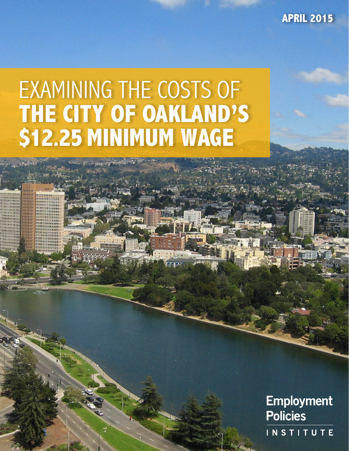**APRIL 2015**

# EXAMINING THE COSTS OF **THE CITY OF OAKLAND'S \$12.25 MINIMUM WAGE**

**Employment Policies INSTITUTE**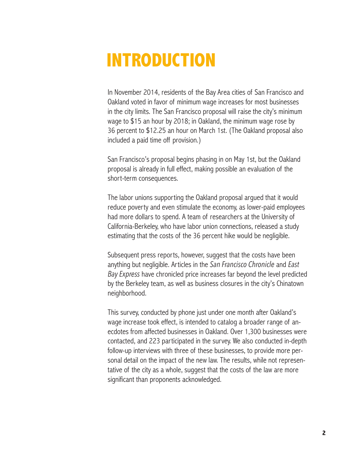### **INTRODUCTION**

In November 2014, residents of the Bay Area cities of San Francisco and Oakland voted in favor of minimum wage increases for most businesses in the city limits. The San Francisco proposal will raise the city's minimum wage to \$15 an hour by 2018; in Oakland, the minimum wage rose by 36 percent to \$12.25 an hour on March 1st. (The Oakland proposal also included a paid time off provision.)

San Francisco's proposal begins phasing in on May 1st, but the Oakland proposal is already in full effect, making possible an evaluation of the short-term consequences.

The labor unions supporting the Oakland proposal argued that it would reduce poverty and even stimulate the economy, as lower-paid employees had more dollars to spend. A team of researchers at the University of California-Berkeley, who have labor union connections, released a study estimating that the costs of the 36 percent hike would be negligible.

Subsequent press reports, however, suggest that the costs have been anything but negligible. Articles in the *San Francisco Chronicle* and *East Bay Express* have chronicled price increases far beyond the level predicted by the Berkeley team, as well as business closures in the city's Chinatown neighborhood.

This survey, conducted by phone just under one month after Oakland's wage increase took effect, is intended to catalog a broader range of anecdotes from affected businesses in Oakland. Over 1,300 businesses were contacted, and 223 participated in the survey. We also conducted in-depth follow-up interviews with three of these businesses, to provide more personal detail on the impact of the new law. The results, while not representative of the city as a whole, suggest that the costs of the law are more significant than proponents acknowledged.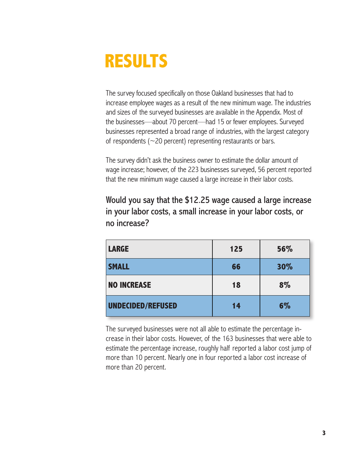### **RESULTS**

The survey focused specifically on those Oakland businesses that had to increase employee wages as a result of the new minimum wage. The industries and sizes of the surveyed businesses are available in the Appendix. Most of the businesses—about 70 percent—had 15 or fewer employees. Surveyed businesses represented a broad range of industries, with the largest category of respondents ( $\sim$ 20 percent) representing restaurants or bars.

The survey didn't ask the business owner to estimate the dollar amount of wage increase; however, of the 223 businesses surveyed, 56 percent reported that the new minimum wage caused a large increase in their labor costs.

Would you say that the \$12.25 wage caused a large increase in your labor costs, a small increase in your labor costs, or no increase?

| <b>LARGE</b>       | 125 | 56% |
|--------------------|-----|-----|
| <b>SMALL</b>       | 66  | 30% |
| <b>NO INCREASE</b> | 18  | 8%  |
| UNDECIDED/REFUSED  | 14  | 6%  |

The surveyed businesses were not all able to estimate the percentage increase in their labor costs. However, of the 163 businesses that were able to estimate the percentage increase, roughly half reported a labor cost jump of more than 10 percent. Nearly one in four reported a labor cost increase of more than 20 percent.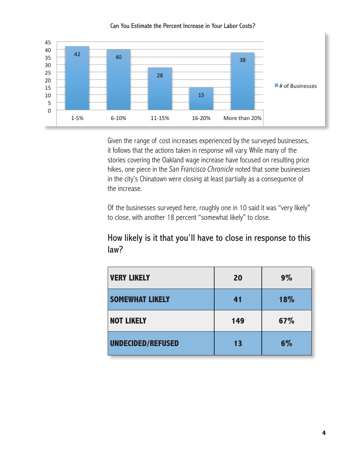

#### Can You Estimate the Percent Increase in Your Labor Costs?

Given the range of cost increases experienced by the surveyed businesses, it follows that the actions taken in response will vary. While many of the stories covering the Oakland wage increase have focused on resulting price hikes, one piece in the *San Francisco Chronicle* noted that some businesses in the city's Chinatown were closing at least partially as a consequence of the increase.

Of the businesses surveyed here, roughly one in 10 said it was "very likely" to close, with another 18 percent "somewhat likely" to close.

#### How likely is it that you'll have to close in response to this law?

| <b>VERY LIKELY</b>       | 20  | $9\%$ |
|--------------------------|-----|-------|
| <b>SOMEWHAT LIKELY</b>   | 41  | 18%   |
| <b>NOT LIKELY</b>        | 149 | 67%   |
| <b>UNDECIDED/REFUSED</b> | 13  | 6%    |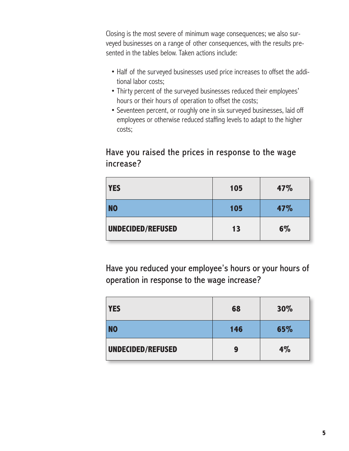Closing is the most severe of minimum wage consequences; we also surveyed businesses on a range of other consequences, with the results presented in the tables below. Taken actions include:

- Half of the surveyed businesses used price increases to offset the additional labor costs;
- Thirty percent of the surveyed businesses reduced their employees' hours or their hours of operation to offset the costs;
- Seventeen percent, or roughly one in six surveyed businesses, laid off employees or otherwise reduced staffing levels to adapt to the higher costs;

### Have you raised the prices in response to the wage increase?

| <b>YES</b>        | 105 | 47% |
|-------------------|-----|-----|
| <b>NO</b>         | 105 | 47% |
| UNDECIDED/REFUSED | 13  | 6%  |

Have you reduced your employee's hours or your hours of operation in response to the wage increase?

| <b>YES</b>        | 68  | 30% |
|-------------------|-----|-----|
| <b>NO</b>         | 146 | 65% |
| UNDECIDED/REFUSED | 9   | 4%  |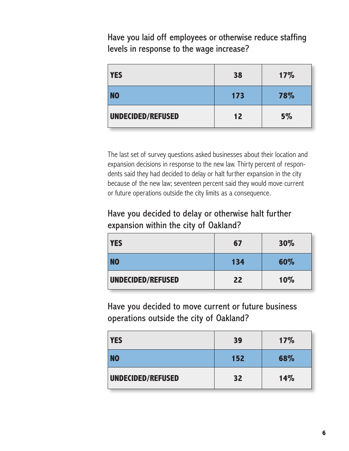Have you laid off employees or otherwise reduce staffing levels in response to the wage increase?

| <b>YES</b>        | 38  | 17% |
|-------------------|-----|-----|
| <b>NO</b>         | 173 | 78% |
| UNDECIDED/REFUSED | 12  | 5%  |

The last set of survey questions asked businesses about their location and expansion decisions in response to the new law. Thirty percent of respondents said they had decided to delay or halt further expansion in the city because of the new law; seventeen percent said they would move current or future operations outside the city limits as a consequence.

Have you decided to delay or otherwise halt further expansion within the city of Oakland?

| <b>YES</b>        | 67  | 30% |
|-------------------|-----|-----|
| <b>NO</b>         | 134 | 60% |
| UNDECIDED/REFUSED | 22  | 10% |

Have you decided to move current or future business operations outside the city of Oakland?

| <b>YES</b>        | 39  | 17% |
|-------------------|-----|-----|
| <b>NO</b>         | 152 | 68% |
| UNDECIDED/REFUSED | 32  | 14% |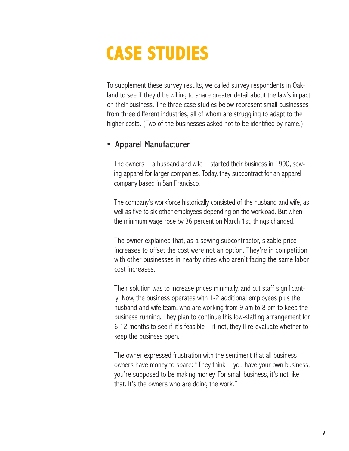## **CASE STUDIES**

To supplement these survey results, we called survey respondents in Oakland to see if they'd be willing to share greater detail about the law's impact on their business. The three case studies below represent small businesses from three different industries, all of whom are struggling to adapt to the higher costs. (Two of the businesses asked not to be identified by name.)

#### • Apparel Manufacturer

 The owners—a husband and wife—started their business in 1990, sewing apparel for larger companies. Today, they subcontract for an apparel company based in San Francisco.

 The company's workforce historically consisted of the husband and wife, as well as five to six other employees depending on the workload. But when the minimum wage rose by 36 percent on March 1st, things changed.

 The owner explained that, as a sewing subcontractor, sizable price increases to offset the cost were not an option. They're in competition with other businesses in nearby cities who aren't facing the same labor cost increases.

 Their solution was to increase prices minimally, and cut staff significantly: Now, the business operates with 1-2 additional employees plus the husband and wife team, who are working from 9 am to 8 pm to keep the business running. They plan to continue this low-staffing arrangement for 6-12 months to see if it's feasible  $-$  if not, they'll re-evaluate whether to keep the business open.

 The owner expressed frustration with the sentiment that all business owners have money to spare: "They think—you have your own business, you're supposed to be making money. For small business, it's not like that. It's the owners who are doing the work."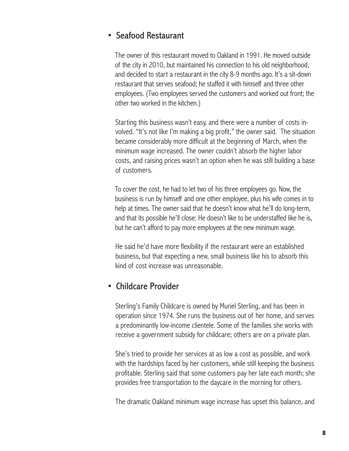### • Seafood Restaurant

 The owner of this restaurant moved to Oakland in 1991. He moved outside of the city in 2010, but maintained his connection to his old neighborhood, and decided to start a restaurant in the city 8-9 months ago. It's a sit-down restaurant that serves seafood; he staffed it with himself and three other employees. (Two employees served the customers and worked out front; the other two worked in the kitchen.)

 Starting this business wasn't easy, and there were a number of costs involved. "It's not like I'm making a big profit," the owner said. The situation became considerably more difficult at the beginning of March, when the minimum wage increased. The owner couldn't absorb the higher labor costs, and raising prices wasn't an option when he was still building a base of customers.

 To cover the cost, he had to let two of his three employees go. Now, the business is run by himself and one other employee, plus his wife comes in to help at times. The owner said that he doesn't know what he'll do long-term, and that its possible he'll close: He doesn't like to be understaffed like he is, but he can't afford to pay more employees at the new minimum wage.

 He said he'd have more flexibility if the restaurant were an established business, but that expecting a new, small business like his to absorb this kind of cost increase was unreasonable.

#### • Childcare Provider

 Sterling's Family Childcare is owned by Muriel Sterling, and has been in operation since 1974. She runs the business out of her home, and serves a predominantly low-income clientele. Some of the families she works with receive a government subsidy for childcare; others are on a private plan.

 She's tried to provide her services at as low a cost as possible, and work with the hardships faced by her customers, while still keeping the business profitable. Sterling said that some customers pay her late each month; she provides free transportation to the daycare in the morning for others.

The dramatic Oakland minimum wage increase has upset this balance, and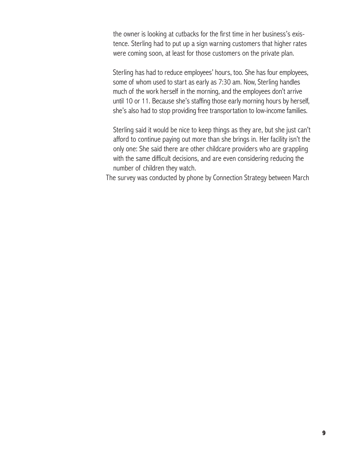the owner is looking at cutbacks for the first time in her business's existence. Sterling had to put up a sign warning customers that higher rates were coming soon, at least for those customers on the private plan.

 Sterling has had to reduce employees' hours, too. She has four employees, some of whom used to start as early as 7:30 am. Now, Sterling handles much of the work herself in the morning, and the employees don't arrive until 10 or 11. Because she's staffing those early morning hours by herself, she's also had to stop providing free transportation to low-income families.

 Sterling said it would be nice to keep things as they are, but she just can't afford to continue paying out more than she brings in. Her facility isn't the only one: She said there are other childcare providers who are grappling with the same difficult decisions, and are even considering reducing the number of children they watch.

The survey was conducted by phone by Connection Strategy between March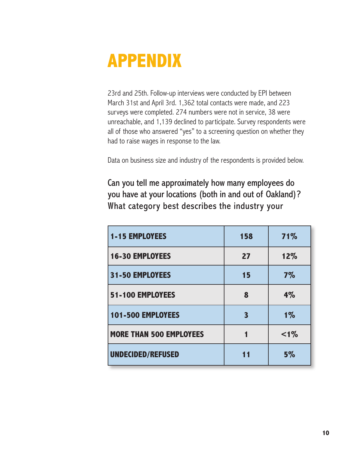### **APPENDIX**

23rd and 25th. Follow-up interviews were conducted by EPI between March 31st and April 3rd. 1,362 total contacts were made, and 223 surveys were completed. 274 numbers were not in service, 38 were unreachable, and 1,139 declined to participate. Survey respondents were all of those who answered "yes" to a screening question on whether they had to raise wages in response to the law.

Data on business size and industry of the respondents is provided below.

Can you tell me approximately how many employees do you have at your locations (both in and out of Oakland)? What category best describes the industry your

| <b>1-15 EMPLOYEES</b>          | 158 | 71%   |
|--------------------------------|-----|-------|
| <b>16-30 EMPLOYEES</b>         | 27  | 12%   |
| 31-50 EMPLOYEES                | 15  | 7%    |
| 51-100 EMPLOYEES               | 8   | $4\%$ |
| 101-500 EMPLOYEES              | 3   | $1\%$ |
| <b>MORE THAN 500 EMPLOYEES</b> |     | $1\%$ |
| <b>UNDECIDED/REFUSED</b>       | 11  | 5%    |